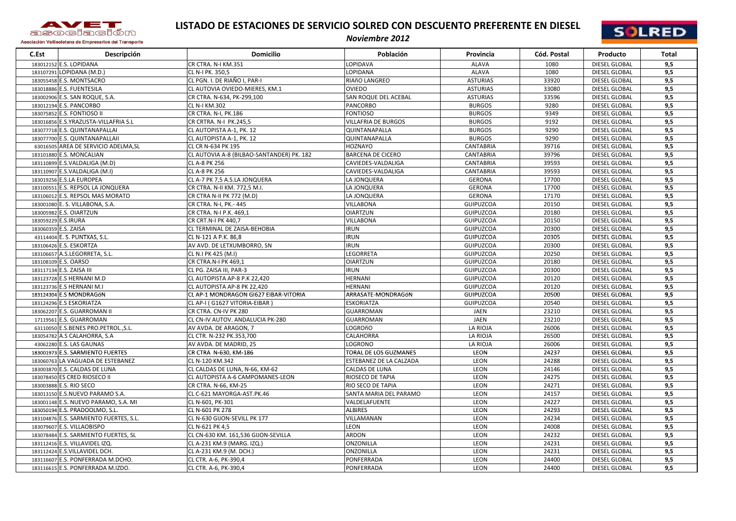

## **LISTADO DE ESTACIONES DE SERVICIO SOLRED CON DESCUENTO PREFERENTE EN DIESEL**



Asociación Vallisoletana de Empresarios del Transporte

## *Noviembre 2012*

| C.Est | Descripción                            | <b>Domicilio</b>                          | Población                  | Provincia        | Cód. Postal | Producto             | <b>Total</b> |
|-------|----------------------------------------|-------------------------------------------|----------------------------|------------------|-------------|----------------------|--------------|
|       | 183012152 E.S. LOPIDANA                | $\overline{\text{CR CTRA}}$ . N-I KM.351  | <b>LOPIDAVA</b>            | <b>ALAVA</b>     | 1080        | <b>DIESEL GLOBAL</b> | 9,5          |
|       | 183107291 LOPIDANA (M.D.)              | CL N-I PK. 350.5                          | <b>LOPIDANA</b>            | <b>ALAVA</b>     | 1080        | <b>DIESEL GLOBAL</b> | 9,5          |
|       | 183055458 E.S. MONTSACRO               | CL PGN. I. DE RIAÑO I, PAR-I              | RIAñO LANGREO              | <b>ASTURIAS</b>  | 33920       | <b>DIESEL GLOBAL</b> | 9,5          |
|       | 183018886 E.S. FUENTESILA              | CL AUTOVIA OVIEDO-MIERES, KM.1            | <b>OVIEDO</b>              | <b>ASTURIAS</b>  | 33080       | <b>DIESEL GLOBAL</b> | 9,5          |
|       | 183002906 E.S. SAN ROQUE, S.A.         | CR CTRA. N-634, PK-299,100                | SAN ROQUE DEL ACEBAL       | <b>ASTURIAS</b>  | 33596       | <b>DIESEL GLOBAL</b> | 9,5          |
|       | 183012194 E.S. PANCORBO                | CL N-I KM.302                             | <b>PANCORBO</b>            | <b>BURGOS</b>    | 9280        | <b>DIESEL GLOBAL</b> | 9,5          |
|       | 183075852 E.S. FONTIOSO II             | CR CTRA. N-I, PK.186                      | <b>FONTIOSO</b>            | <b>BURGOS</b>    | 9349        | <b>DIESEL GLOBAL</b> | 9,5          |
|       | 183016856 E.S.YRAZUSTA-VILLAFRIA S.L   | CR CRTRA. N-I PK.245,5                    | <b>VILLAFRIA DE BURGOS</b> | <b>BURGOS</b>    | 9192        | <b>DIESEL GLOBAL</b> | 9,5          |
|       | 183077718 E.S. QUINTANAPALLAI          | CL AUTOPISTA A-1, PK. 12                  | QUINTANAPALLA              | <b>BURGOS</b>    | 9290        | DIESEL GLOBAL        | 9,5          |
|       | 183077700 E.S. QUINTANAPALLAII         | CL AUTOPISTA A-1, PK. 12                  | QUINTANAPALLA              | <b>BURGOS</b>    | 9290        | <b>DIESEL GLOBAL</b> | 9,5          |
|       | 63016505 AREA DE SERVICIO ADELMA, SL   | CL CR N-634 PK 195                        | <b>HOZNAYO</b>             | <b>CANTABRIA</b> | 39716       | DIESEL GLOBAL        | 9,5          |
|       | 183101880 E.S. MONCALIAN               | CL AUTOVIA A-8 (BILBAO-SANTANDER) PK. 182 | <b>BARCENA DE CICERO</b>   | <b>CANTABRIA</b> | 39796       | DIESEL GLOBAL        | 9,5          |
|       | 183110899 E.S.VALDALIGA (M.D)          | CL A-8 PK 256                             | CAVIEDES-VALDALIGA         | <b>CANTABRIA</b> | 39593       | DIESEL GLOBAL        | 9,5          |
|       | 183110907 E.S.VALDALIGA (M.I)          | CL A-8 PK 256                             | CAVIEDES-VALDALIGA         | <b>CANTABRIA</b> | 39593       | <b>DIESEL GLOBAL</b> | 9,5          |
|       | 183019256 E.S.LA EUROPEA               | CL A-7 PK 7,5 A.S.LA JONQUERA             | LA JONQUERA                | <b>GERONA</b>    | 17700       | <b>DIESEL GLOBAL</b> | 9,5          |
|       | 183100551 E.S. REPSOL LA JONQUERA      | CR CTRA. N-II KM. 772,5 M.I.              | LA JONQUERA                | <b>GERONA</b>    | 17700       | <b>DIESEL GLOBAL</b> | 9,5          |
|       | 183106012 E.S. REPSOL MAS MORATO       | CR CTRA N-II PK 772 (M.D)                 | LA JONQUERA                | <b>GERONA</b>    | 17170       | <b>DIESEL GLOBAL</b> | 9,5          |
|       | 183001080 E. S. VILLABONA, S.A.        | CR CTRA. N-I, PK.- 445                    | <b>VILLABONA</b>           | GUIPUZCOA        | 20150       | DIESEL GLOBAL        | 9,5          |
|       | 183005982 E.S. OIARTZUN                | CR CTRA. N-I P.K. 469,1                   | <b>OIARTZUN</b>            | GUIPUZCOA        | 20180       | DIESEL GLOBAL        | 9,5          |
|       | 183059229 E.S.IRURA                    | CR CRT.N-I PK 440,7                       | <b>VILLABONA</b>           | <b>GUIPUZCOA</b> | 20150       | <b>DIESEL GLOBAL</b> | 9,5          |
|       | 183060359 E.S. ZAISA                   | CL TERMINAL DE ZAISA-BEHOBIA              | <b>IRUN</b>                | GUIPUZCOA        | 20300       | <b>DIESEL GLOBAL</b> | 9,5          |
|       | 43114404 E. S. PUNTXAS, S.L.           | CL N-121 A P.K. 86,8                      | <b>IRUN</b>                | GUIPUZCOA        | 20305       | DIESEL GLOBAL        | 9,5          |
|       | 183106426 E.S. ESKORTZA                | AV AVD. DE LETXUMBORRO, SN                | <b>IRUN</b>                | GUIPUZCOA        | 20300       | DIESEL GLOBAL        | 9,5          |
|       | 183106657 A.S.LEGORRETA, S.L.          | CL N.I PK 425 (M.I)                       | <b>LEGORRETA</b>           | <b>GUIPUZCOA</b> | 20250       | <b>DIESEL GLOBAL</b> | 9,5          |
|       | 183108109 E.S. OARSO                   | CR CTRA.N-I PK 469,1                      | <b>OIARTZUN</b>            | GUIPUZCOA        | 20180       | <b>DIESEL GLOBAL</b> | 9,5          |
|       | 183117134 E.S. ZAISA III               | CL PG. ZAISA III, PAR-3                   | <b>IRUN</b>                | <b>GUIPUZCOA</b> | 20300       | <b>DIESEL GLOBAL</b> | 9,5          |
|       | 183123728 E.S HERNANI M.D              | CL AUTOPISTA AP-8 P.K 22,420              | <b>HERNANI</b>             | GUIPUZCOA        | 20120       | <b>DIESEL GLOBAL</b> | 9,5          |
|       | 183123736 E.S HERNANI M.I              | CL AUTOPISTA AP-8 PK 22,420               | <b>HERNANI</b>             | GUIPUZCOA        | 20120       | <b>DIESEL GLOBAL</b> | 9,5          |
|       | 183124304 E.S MONDRAGÓN                | CL AP-1 MONDRAGON GI627 EIBAR-VITORIA     | ARRASATE-MONDRAGÓN         | GUIPUZCOA        | 20500       | DIESEL GLOBAL        | 9,5          |
|       | 183124296 E.S ESKORIATZA               | CL AP-I (G1627 VITORIA-EIBAR)             | <b>ESKORIATZA</b>          | <b>GUIPUZCOA</b> | 20540       | <b>DIESEL GLOBAL</b> | 9,5          |
|       | 183062207 E.S. GUARROMAN II            | CR CTRA. CN-IV PK 280                     | <b>GUARROMAN</b>           | <b>JAEN</b>      | 23210       | DIESEL GLOBAL        | 9,5          |
|       | 17119561 E.S. GUARROMAN                | CL CN-IV AUTOV. ANDALUCIA PK-280          | <b>GUARROMAN</b>           | <b>JAEN</b>      | 23210       | <b>DIESEL GLOBAL</b> | 9,5          |
|       | 63110050 E.S.BENES PRO.PETROL., S.L.   | AV AVDA. DE ARAGON, 7                     | LOGROñO                    | LA RIOJA         | 26006       | <b>DIESEL GLOBAL</b> | 9,5          |
|       | 183054782 A.S CALAHORRA, S.A           | CL CTR. N-232 PK.353,700                  | <b>CALAHORRA</b>           | LA RIOJA         | 26500       | <b>DIESEL GLOBAL</b> | 9,5          |
|       | 43062280 E.S. LAS GAUNAS               | AV AVDA. DE MADRID, 25                    | LOGRONO                    | LA RIOJA         | 26006       | DIESEL GLOBAL        | 9,5          |
|       | 183001973 E.S. SARMIENTO FUERTES       | CR CTRA N-630, KM-186                     | TORAL DE LOS GUZMANES      | LEON             | 24237       | DIESEL GLOBAL        | 9,5          |
|       | 183060763 LA VAGUADA DE ESTEBANEZ      | CL N-120 KM.342                           | ESTEBANEZ DE LA CALZADA    | LEON             | 24288       | DIESEL GLOBAL        | 9,5          |
|       | 183003870 E.S. CALDAS DE LUNA          | CL CALDAS DE LUNA, N-66, KM-62            | <b>CALDAS DE LUNA</b>      | LEON             | 24146       | <b>DIESEL GLOBAL</b> | 9,5          |
|       | 183078450 ES CRED RIOSECO II           | CL AUTOPISTA A-6 CAMPOMANES-LEON          | <b>RIOSECO DE TAPIA</b>    | LEON             | 24275       | <b>DIESEL GLOBAL</b> | 9,5          |
|       | 183003888 E.S. RIO SECO                | CR CTRA. N-66, KM-25                      | <b>RIO SECO DE TAPIA</b>   | LEON             | 24271       | DIESEL GLOBAL        | 9,5          |
|       | 183013150 E.S.NUEVO PARAMO S.A.        | CL C-621 MAYORGA-AST.PK.46                | SANTA MARIA DEL PARAMO     | LEON             | 24157       | DIESEL GLOBAL        | 9,5          |
|       | 183001148 E.S. NUEVO PARAMO, S.A. MI   | CL N-601, PK-301                          | VALDELAFUENTE              | LEON             | 24227       | DIESEL GLOBAL        | 9,5          |
|       | 183050194 E.S. PRADOOLMO, S.L.         | CL N-601 PK 278                           | <b>ALBIRES</b>             | LEON             | 24293       | <b>DIESEL GLOBAL</b> | 9,5          |
|       | 183104876 E.S. SARMIENTO FUERTES, S.L. | CL N-630 GIJON-SEVILL PK 177              | VILLAMANAN                 | LEON             | 24234       | <b>DIESEL GLOBAL</b> | 9,5          |
|       | 183079607 E.S. VILLAOBISPO             | CL N-621 PK 4,5                           | <b>LEON</b>                | LEON             | 24008       | <b>DIESEL GLOBAL</b> | 9,5          |
|       | 183078484 E.S. SARMIENTO FUERTES, SL   | CL CN-630 KM. 161,536 GIJON-SEVILLA       | <b>ARDON</b>               | LEON             | 24232       | <b>DIESEL GLOBAL</b> | 9,5          |
|       | 183112416 E.S. VILLAVIDEL IZQ.         | CL A-231 KM.9 (MARG. IZQ.)                | <b>ONZONILLA</b>           | <b>LEON</b>      | 24231       | DIESEL GLOBAL        | 9,5          |
|       | 183112424 E.S.VILLAVIDEL DCH.          | CL A-231 KM.9 (M. DCH.)                   | <b>ONZONILLA</b>           | LEON             | 24231       | DIESEL GLOBAL        | 9,5          |
|       | 183116607 E.S. PONFERRADA M.DCHO.      | CL CTR. A-6, PK-390,4                     | PONFERRADA                 | LEON             | 24400       | DIESEL GLOBAL        | 9,5          |
|       | 183116615 E.S. PONFERRADA M.IZDO.      | CL CTR. A-6, PK-390,4                     | PONFERRADA                 | LEON             | 24400       | DIESEL GLOBAL        | 9,5          |